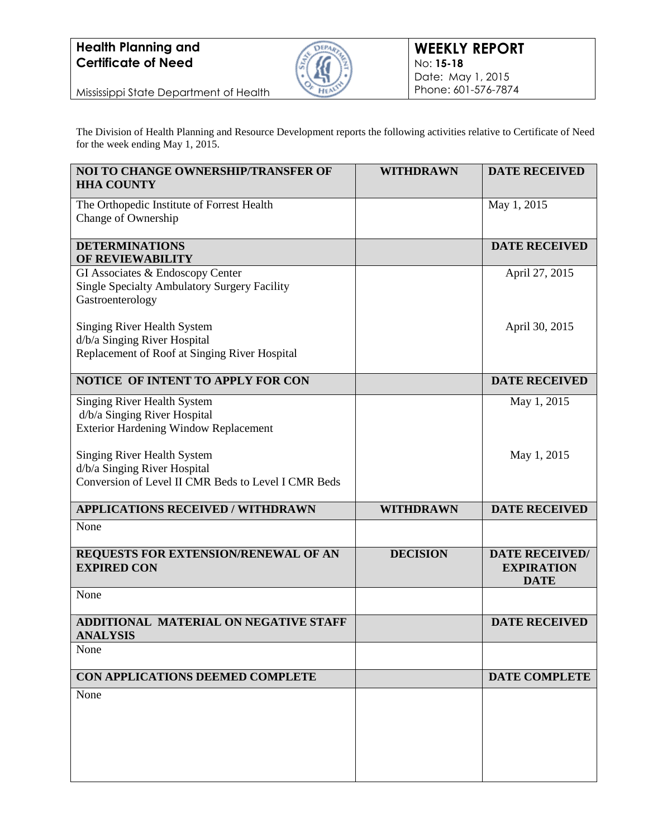## **Health Planning and Certificate of Need**



Mississippi State Department of Health

The Division of Health Planning and Resource Development reports the following activities relative to Certificate of Need for the week ending May 1, 2015.

| NOI TO CHANGE OWNERSHIP/TRANSFER OF<br><b>HHA COUNTY</b>                                                                  | <b>WITHDRAWN</b> | <b>DATE RECEIVED</b>                                      |
|---------------------------------------------------------------------------------------------------------------------------|------------------|-----------------------------------------------------------|
| The Orthopedic Institute of Forrest Health<br>Change of Ownership                                                         |                  | May 1, 2015                                               |
| <b>DETERMINATIONS</b><br>OF REVIEWABILITY                                                                                 |                  | <b>DATE RECEIVED</b>                                      |
| GI Associates & Endoscopy Center<br>Single Specialty Ambulatory Surgery Facility<br>Gastroenterology                      |                  | April 27, 2015                                            |
| <b>Singing River Health System</b><br>d/b/a Singing River Hospital<br>Replacement of Roof at Singing River Hospital       |                  | April 30, 2015                                            |
| NOTICE OF INTENT TO APPLY FOR CON                                                                                         |                  | <b>DATE RECEIVED</b>                                      |
| <b>Singing River Health System</b><br>d/b/a Singing River Hospital<br><b>Exterior Hardening Window Replacement</b>        |                  | May 1, 2015                                               |
| <b>Singing River Health System</b><br>d/b/a Singing River Hospital<br>Conversion of Level II CMR Beds to Level I CMR Beds |                  | May 1, 2015                                               |
| <b>APPLICATIONS RECEIVED / WITHDRAWN</b>                                                                                  | <b>WITHDRAWN</b> | <b>DATE RECEIVED</b>                                      |
| None                                                                                                                      |                  |                                                           |
| REQUESTS FOR EXTENSION/RENEWAL OF AN<br><b>EXPIRED CON</b>                                                                | <b>DECISION</b>  | <b>DATE RECEIVED/</b><br><b>EXPIRATION</b><br><b>DATE</b> |
| None                                                                                                                      |                  |                                                           |
| ADDITIONAL MATERIAL ON NEGATIVE STAFF<br><b>ANALYSIS</b>                                                                  |                  | <b>DATE RECEIVED</b>                                      |
| None                                                                                                                      |                  |                                                           |
| CON APPLICATIONS DEEMED COMPLETE                                                                                          |                  | <b>DATE COMPLETE</b>                                      |
| None                                                                                                                      |                  |                                                           |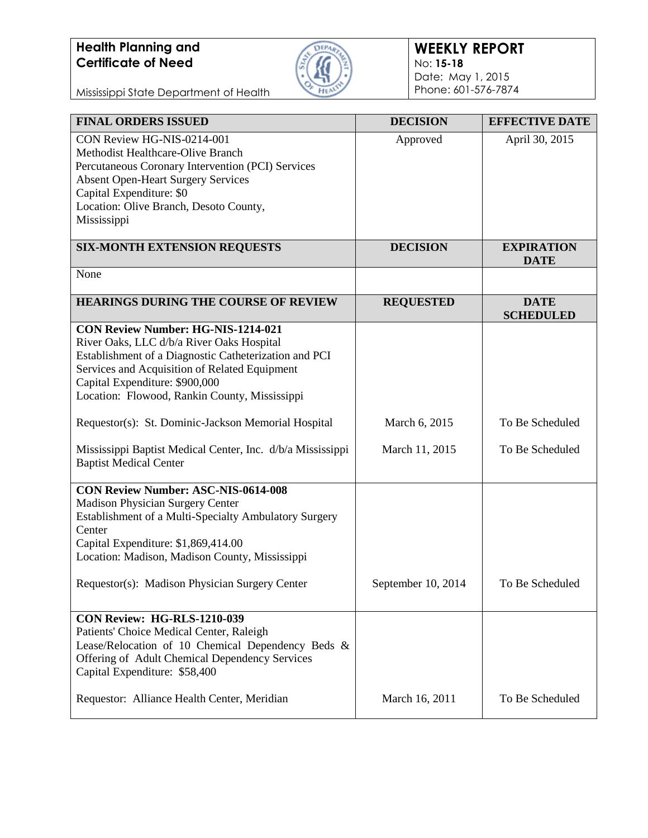## **Health Planning and Certificate of Need**



Mississippi State Department of Health

| <b>FINAL ORDERS ISSUED</b>                                                                                                                                                                                                                                                                   | <b>DECISION</b>    | <b>EFFECTIVE DATE</b>            |
|----------------------------------------------------------------------------------------------------------------------------------------------------------------------------------------------------------------------------------------------------------------------------------------------|--------------------|----------------------------------|
| CON Review HG-NIS-0214-001<br>Methodist Healthcare-Olive Branch<br>Percutaneous Coronary Intervention (PCI) Services<br><b>Absent Open-Heart Surgery Services</b><br>Capital Expenditure: \$0<br>Location: Olive Branch, Desoto County,<br>Mississippi                                       | Approved           | April 30, 2015                   |
| <b>SIX-MONTH EXTENSION REQUESTS</b>                                                                                                                                                                                                                                                          | <b>DECISION</b>    | <b>EXPIRATION</b><br><b>DATE</b> |
| None                                                                                                                                                                                                                                                                                         |                    |                                  |
| <b>HEARINGS DURING THE COURSE OF REVIEW</b>                                                                                                                                                                                                                                                  | <b>REQUESTED</b>   | <b>DATE</b><br><b>SCHEDULED</b>  |
| <b>CON Review Number: HG-NIS-1214-021</b><br>River Oaks, LLC d/b/a River Oaks Hospital<br>Establishment of a Diagnostic Catheterization and PCI<br>Services and Acquisition of Related Equipment<br>Capital Expenditure: \$900,000<br>Location: Flowood, Rankin County, Mississippi          |                    |                                  |
| Requestor(s): St. Dominic-Jackson Memorial Hospital                                                                                                                                                                                                                                          | March 6, 2015      | To Be Scheduled                  |
| Mississippi Baptist Medical Center, Inc. d/b/a Mississippi<br><b>Baptist Medical Center</b>                                                                                                                                                                                                  | March 11, 2015     | To Be Scheduled                  |
| <b>CON Review Number: ASC-NIS-0614-008</b><br>Madison Physician Surgery Center<br>Establishment of a Multi-Specialty Ambulatory Surgery<br>Center<br>Capital Expenditure: \$1,869,414.00<br>Location: Madison, Madison County, Mississippi<br>Requestor(s): Madison Physician Surgery Center | September 10, 2014 | To Be Scheduled                  |
| <b>CON Review: HG-RLS-1210-039</b><br>Patients' Choice Medical Center, Raleigh<br>Lease/Relocation of 10 Chemical Dependency Beds &<br>Offering of Adult Chemical Dependency Services<br>Capital Expenditure: \$58,400                                                                       |                    |                                  |
| Requestor: Alliance Health Center, Meridian                                                                                                                                                                                                                                                  | March 16, 2011     | To Be Scheduled                  |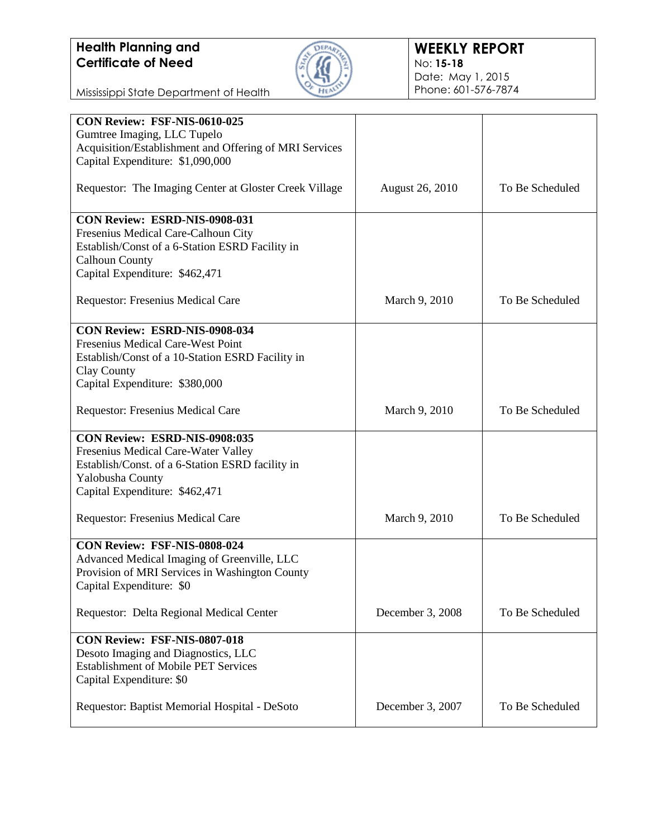

Mississippi State Department of Health

| CON Review: FSF-NIS-0610-025                                                               |                        |                 |
|--------------------------------------------------------------------------------------------|------------------------|-----------------|
| Gumtree Imaging, LLC Tupelo                                                                |                        |                 |
| Acquisition/Establishment and Offering of MRI Services<br>Capital Expenditure: \$1,090,000 |                        |                 |
|                                                                                            |                        |                 |
| Requestor: The Imaging Center at Gloster Creek Village                                     | <b>August 26, 2010</b> | To Be Scheduled |
| <b>CON Review: ESRD-NIS-0908-031</b>                                                       |                        |                 |
| Fresenius Medical Care-Calhoun City                                                        |                        |                 |
| Establish/Const of a 6-Station ESRD Facility in                                            |                        |                 |
| <b>Calhoun County</b>                                                                      |                        |                 |
| Capital Expenditure: \$462,471                                                             |                        |                 |
| Requestor: Fresenius Medical Care                                                          | March 9, 2010          | To Be Scheduled |
| CON Review: ESRD-NIS-0908-034                                                              |                        |                 |
| Fresenius Medical Care-West Point                                                          |                        |                 |
| Establish/Const of a 10-Station ESRD Facility in                                           |                        |                 |
| Clay County                                                                                |                        |                 |
| Capital Expenditure: \$380,000                                                             |                        |                 |
| Requestor: Fresenius Medical Care                                                          | March 9, 2010          | To Be Scheduled |
| CON Review: ESRD-NIS-0908:035                                                              |                        |                 |
| Fresenius Medical Care-Water Valley                                                        |                        |                 |
| Establish/Const. of a 6-Station ESRD facility in                                           |                        |                 |
| Yalobusha County                                                                           |                        |                 |
| Capital Expenditure: \$462,471                                                             |                        |                 |
| Requestor: Fresenius Medical Care                                                          | March 9, 2010          | To Be Scheduled |
| CON Review: FSF-NIS-0808-024                                                               |                        |                 |
| Advanced Medical Imaging of Greenville, LLC                                                |                        |                 |
| Provision of MRI Services in Washington County                                             |                        |                 |
| Capital Expenditure: \$0                                                                   |                        |                 |
| Requestor: Delta Regional Medical Center                                                   | December 3, 2008       | To Be Scheduled |
| CON Review: FSF-NIS-0807-018                                                               |                        |                 |
| Desoto Imaging and Diagnostics, LLC                                                        |                        |                 |
| <b>Establishment of Mobile PET Services</b>                                                |                        |                 |
| Capital Expenditure: \$0                                                                   |                        |                 |
| Requestor: Baptist Memorial Hospital - DeSoto                                              | December 3, 2007       | To Be Scheduled |
|                                                                                            |                        |                 |